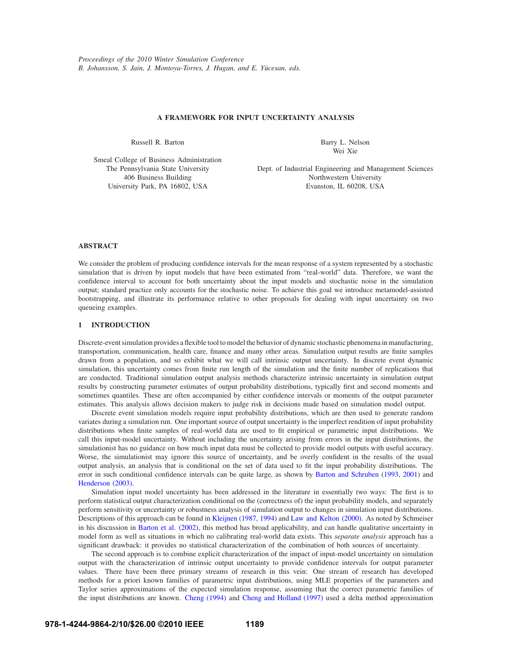# **A FRAMEWORK FOR INPUT UNCERTAINTY ANALYSIS**

Russell R. Barton

Barry L. Nelson Wei Xie

Smeal College of Business Administration The Pennsylvania State University 406 Business Building University Park, PA 16802, USA

Dept. of Industrial Engineering and Management Sciences Northwestern University Evanston, IL 60208, USA

# **ABSTRACT**

We consider the problem of producing confidence intervals for the mean response of a system represented by a stochastic simulation that is driven by input models that have been estimated from "real-world" data. Therefore, we want the confidence interval to account for both uncertainty about the input models and stochastic noise in the simulation output; standard practice only accounts for the stochastic noise. To achieve this goal we introduce metamodel-assisted bootstrapping, and illustrate its performance relative to other proposals for dealing with input uncertainty on two queueing examples.

# **1 INTRODUCTION**

Discrete-event simulation provides a flexible tool to model the behavior of dynamic stochastic phenomena in manufacturing, transportation, communication, health care, finance and many other areas. Simulation output results are finite samples drawn from a population, and so exhibit what we will call intrinsic output uncertainty. In discrete event dynamic simulation, this uncertainty comes from finite run length of the simulation and the finite number of replications that are conducted. Traditional simulation output analysis methods characterize intrinsic uncertainty in simulation output results by constructing parameter estimates of output probability distributions, typically first and second moments and sometimes quantiles. These are often accompanied by either confidence intervals or moments of the output parameter estimates. This analysis allows decision makers to judge risk in decisions made based on simulation model output.

Discrete event simulation models require input probability distributions, which are then used to generate random variates during a simulation run. One important source of output uncertainty is the imperfect rendition of input probability distributions when finite samples of real-world data are used to fit empirical or parametric input distributions. We call this input-model uncertainty. Without including the uncertainty arising from errors in the input distributions, the simulationist has no guidance on how much input data must be collected to provide model outputs with useful accuracy. Worse, the simulationist may ignore this source of uncertainty, and be overly confident in the results of the usual output analysis, an analysis that is conditional on the set of data used to fit the input probability distributions. The error in such conditional confidence intervals can be quite large, as shown by Barton and Schruben (1993, 2001) and Henderson (2003).

Simulation input model uncertainty has been addressed in the literature in essentially two ways: The first is to perform statistical output characterization conditional on the (correctness of) the input probability models, and separately perform sensitivity or uncertainty or robustness analysis of simulation output to changes in simulation input distributions. Descriptions of this approach can be found in Kleijnen (1987, 1994) and Law and Kelton (2000). As noted by Schmeiser in his discussion in Barton et al. (2002), this method has broad applicability, and can handle qualitative uncertainty in model form as well as situations in which no calibrating real-world data exists. This *separate analysis* approach has a significant drawback: it provides no statistical characterization of the combination of both sources of uncertainty.

The second approach is to combine explicit characterization of the impact of input-model uncertainty on simulation output with the characterization of intrinsic output uncertainty to provide confidence intervals for output parameter values. There have been three primary streams of research in this vein: One stream of research has developed methods for a priori known families of parametric input distributions, using MLE properties of the parameters and Taylor series approximations of the expected simulation response, assuming that the correct parametric families of the input distributions are known. Cheng (1994) and Cheng and Holland (1997) used a delta method approximation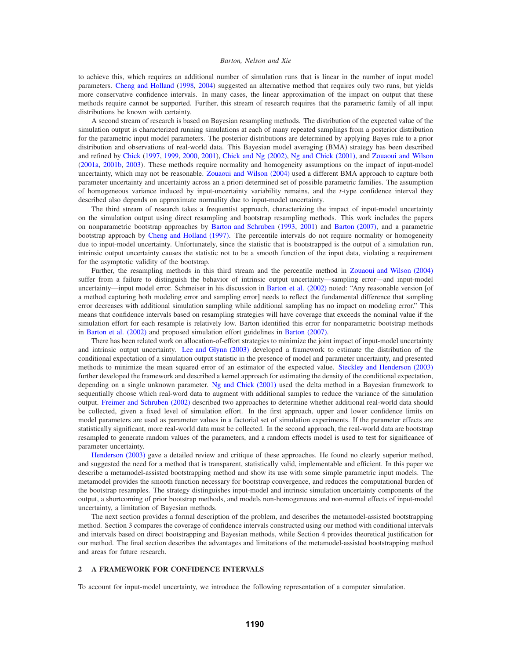to achieve this, which requires an additional number of simulation runs that is linear in the number of input model parameters. Cheng and Holland (1998, 2004) suggested an alternative method that requires only two runs, but yields more conservative confidence intervals. In many cases, the linear approximation of the impact on output that these methods require cannot be supported. Further, this stream of research requires that the parametric family of all input distributions be known with certainty.

A second stream of research is based on Bayesian resampling methods. The distribution of the expected value of the simulation output is characterized running simulations at each of many repeated samplings from a posterior distribution for the parametric input model parameters. The posterior distributions are determined by applying Bayes rule to a prior distribution and observations of real-world data. This Bayesian model averaging (BMA) strategy has been described and refined by Chick (1997, 1999, 2000, 2001), Chick and Ng (2002), Ng and Chick (2001), and Zouaoui and Wilson (2001a, 2001b, 2003). These methods require normality and homogeneity assumptions on the impact of input-model uncertainty, which may not be reasonable. Zouaoui and Wilson (2004) used a different BMA approach to capture both parameter uncertainty and uncertainty across an a priori determined set of possible parametric families. The assumption of homogeneous variance induced by input-uncertainty variability remains, and the *t*-type confidence interval they described also depends on approximate normality due to input-model uncertainty.

The third stream of research takes a frequentist approach, characterizing the impact of input-model uncertainty on the simulation output using direct resampling and bootstrap resampling methods. This work includes the papers on nonparametric bootstrap approaches by Barton and Schruben (1993, 2001) and Barton (2007), and a parametric bootstrap approach by Cheng and Holland (1997). The percentile intervals do not require normality or homogeneity due to input-model uncertainty. Unfortunately, since the statistic that is bootstrapped is the output of a simulation run, intrinsic output uncertainty causes the statistic not to be a smooth function of the input data, violating a requirement for the asymptotic validity of the bootstrap.

Further, the resampling methods in this third stream and the percentile method in Zouaoui and Wilson (2004) suffer from a failure to distinguish the behavior of intrinsic output uncertainty—sampling error—and input-model uncertainty—input model error. Schmeiser in his discussion in Barton et al. (2002) noted: "Any reasonable version [of a method capturing both modeling error and sampling error] needs to reflect the fundamental difference that sampling error decreases with additional simulation sampling while additional sampling has no impact on modeling error." This means that confidence intervals based on resampling strategies will have coverage that exceeds the nominal value if the simulation effort for each resample is relatively low. Barton identified this error for nonparametric bootstrap methods in Barton et al. (2002) and proposed simulation effort guidelines in Barton (2007).

There has been related work on allocation-of-effort strategies to minimize the joint impact of input-model uncertainty and intrinsic output uncertainty. Lee and Glynn (2003) developed a framework to estimate the distribution of the conditional expectation of a simulation output statistic in the presence of model and parameter uncertainty, and presented methods to minimize the mean squared error of an estimator of the expected value. Steckley and Henderson (2003) further developed the framework and described a kernel approach for estimating the density of the conditional expectation, depending on a single unknown parameter. Ng and Chick (2001) used the delta method in a Bayesian framework to sequentially choose which real-word data to augment with additional samples to reduce the variance of the simulation output. Freimer and Schruben (2002) described two approaches to determine whether additional real-world data should be collected, given a fixed level of simulation effort. In the first approach, upper and lower confidence limits on model parameters are used as parameter values in a factorial set of simulation experiments. If the parameter effects are statistically significant, more real-world data must be collected. In the second approach, the real-world data are bootstrap resampled to generate random values of the parameters, and a random effects model is used to test for significance of parameter uncertainty.

Henderson (2003) gave a detailed review and critique of these approaches. He found no clearly superior method, and suggested the need for a method that is transparent, statistically valid, implementable and efficient. In this paper we describe a metamodel-assisted bootstrapping method and show its use with some simple parametric input models. The metamodel provides the smooth function necessary for bootstrap convergence, and reduces the computational burden of the bootstrap resamples. The strategy distinguishes input-model and intrinsic simulation uncertainty components of the output, a shortcoming of prior bootstrap methods, and models non-homogeneous and non-normal effects of input-model uncertainty, a limitation of Bayesian methods.

The next section provides a formal description of the problem, and describes the metamodel-assisted bootstrapping method. Section 3 compares the coverage of confidence intervals constructed using our method with conditional intervals and intervals based on direct bootstrapping and Bayesian methods, while Section 4 provides theoretical justification for our method. The final section describes the advantages and limitations of the metamodel-assisted bootstrapping method and areas for future research.

## **2 A FRAMEWORK FOR CONFIDENCE INTERVALS**

To account for input-model uncertainty, we introduce the following representation of a computer simulation.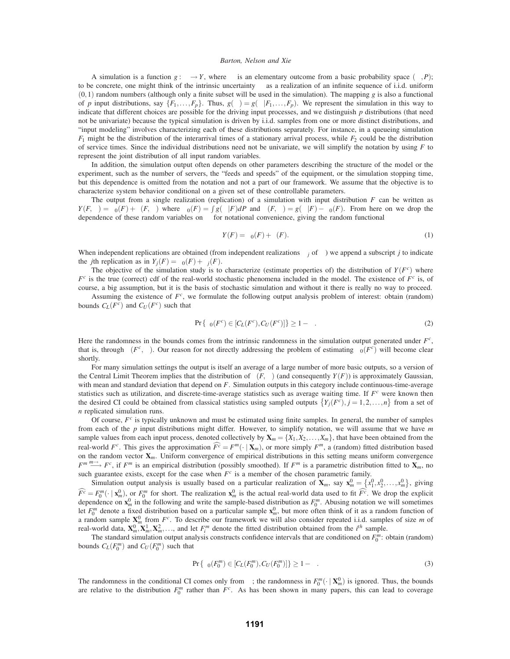A simulation is a function  $g : \omega \to Y$ , where  $\omega$  is an elementary outcome from a basic probability space  $(\Omega, P)$ ; to be concrete, one might think of the intrinsic uncertainty  $\omega$  as a realization of an infinite sequence of i.i.d. uniform  $(0,1)$  random numbers (although only a finite subset will be used in the simulation). The mapping *g* is also a functional of *p* input distributions, say  $\{F_1, \ldots, F_p\}$ . Thus,  $g(\omega) = g(\omega|F_1, \ldots, F_p)$ . We represent the simulation in this way to indicate that different choices are possible for the driving input processes, and we distinguish *p* distributions (that need not be univariate) because the typical simulation is driven by i.i.d. samples from one or more distinct distributions, and "input modeling" involves characterizing each of these distributions separately. For instance, in a queueing simulation  $F_1$  might be the distribution of the interarrival times of a stationary arrival process, while  $F_2$  could be the distribution of service times. Since the individual distributions need not be univariate, we will simplify the notation by using *F* to represent the joint distribution of all input random variables.

In addition, the simulation output often depends on other parameters describing the structure of the model or the experiment, such as the number of servers, the "feeds and speeds" of the equipment, or the simulation stopping time, but this dependence is omitted from the notation and not a part of our framework. We assume that the objective is to characterize system behavior conditional on a given set of these controllable parameters.

The output from a single realization (replication) of a simulation with input distribution *F* can be written as  $Y(F, \omega) = \beta_0(F) + \varepsilon(F, \omega)$  where  $\beta_0(F) = \int g(\omega|F) dP$  and  $\varepsilon(F, \omega) = g(\omega|F) - \beta_0(F)$ . From here on we drop the dependence of these random variables on  $\omega$  for notational convenience, giving the random functional

$$
Y(F) = \beta_0(F) + \varepsilon(F). \tag{1}
$$

When independent replications are obtained (from independent realizations  $\omega_i$  of  $\omega$ ) we append a subscript *j* to indicate the *j*th replication as in  $Y_i(F) = \beta_0(F) + \varepsilon_i(F)$ .

The objective of the simulation study is to characterize (estimate properties of) the distribution of  $Y(F<sup>c</sup>)$  where  $F<sup>c</sup>$  is the true (correct) cdf of the real-world stochastic phenomena included in the model. The existence of  $F<sup>c</sup>$  is, of course, a big assumption, but it is the basis of stochastic simulation and without it there is really no way to proceed.

Assuming the existence of *Fc*, we formulate the following output analysis problem of interest: obtain (random) bounds  $C_L(F^c)$  and  $C_U(F^c)$  such that

$$
\Pr\{\beta_0(F^c) \in [C_L(F^c), C_U(F^c)]\} \ge 1 - \alpha. \tag{2}
$$

Here the randomness in the bounds comes from the intrinsic randomness in the simulation output generated under  $F<sup>c</sup>$ , that is, through  $\varepsilon(F^c, \omega)$ . Our reason for not directly addressing the problem of estimating  $\beta_0(F^c)$  will become clear shortly.

For many simulation settings the output is itself an average of a large number of more basic outputs, so a version of the Central Limit Theorem implies that the distribution of  $\varepsilon(F,\omega)$  (and consequently  $Y(F)$ ) is approximately Gaussian, with mean and standard deviation that depend on *F*. Simulation outputs in this category include continuous-time-average statistics such as utilization, and discrete-time-average statistics such as average waiting time. If *F<sup>c</sup>* were known then the desired CI could be obtained from classical statistics using sampled outputs  $\{Y_j(F^c), j = 1, 2, ..., n\}$  from a set of *n* replicated simulation runs.

Of course, *F<sup>c</sup>* is typically unknown and must be estimated using finite samples. In general, the number of samples from each of the *p* input distributions might differ. However, to simplify notation, we will assume that we have *m* sample values from each input process, denoted collectively by  $\mathbf{X}_m = \{X_1, X_2, \ldots, X_m\}$ , that have been obtained from the real-world  $F^c$ . This gives the approximation  $\widehat{F}^c = F^m(\cdot | \mathbf{X}_m)$ , or more simply  $F^m$ , a (random) fitted distribution based on the random vector  $\mathbf{X}_m$ . Uniform convergence of empirical distributions in this setting means uniform convergence  $F^m \longrightarrow^{\infty} F^c$ , if  $F^m$  is an empirical distribution (possibly smoothed). If  $F^m$  is a parametric distribution fitted to  $\mathbf{X}_m$ , no such guarantee exists, except for the case when  $F^c$  is a member of the chosen parametric family.

Simulation output analysis is usually based on a particular realization of  $\mathbf{X}_m$ , say  $\mathbf{x}_m^0 = \{x_1^0, x_2^0, \dots, x_m^0\}$ , giving  $\widehat{F^c} = F_0^m(\cdot | \mathbf{x}_m^0)$ , or  $F_0^m$  for short. The realization  $\mathbf{x}_m^0$  is the actual real-world data used to fit  $\widehat{F^c}$ . We drop the explicit dependence on  $\mathbf{x}_m^0$  in the following and write the sample-based distribution as  $F_0^m$ . Abusing notation we will sometimes let  $F_0^m$  denote a fixed distribution based on a particular sample  $\mathbf{x}_m^0$ , but more often think of it as a random function of a random sample  $X_m^0$  from  $F^c$ . To describe our framework we will also consider repeated i.i.d. samples of size *m* of real-world data,  $\mathbf{X}_m^0, \mathbf{X}_m^1, \mathbf{X}_m^2, \ldots$ , and let  $F_i^m$  denote the fitted distribution obtained from the  $i^h$  sample.

The standard simulation output analysis constructs confidence intervals that are conditioned on  $F_0^m$ : obtain (random) bounds  $C_L(F_0^m)$  and  $C_U(F_0^m)$  such that

$$
\Pr\{\beta_0(F_0^m) \in [C_L(F_0^m), C_U(F_0^m)]\} \ge 1 - \alpha. \tag{3}
$$

The randomness in the conditional CI comes only from  $\omega$ ; the randomness in  $F_0^m(\cdot \mid \mathbf{X}_m^0)$  is ignored. Thus, the bounds are relative to the distribution  $F_0^m$  rather than  $F^c$ . As has been shown in many papers, this can lead to coverage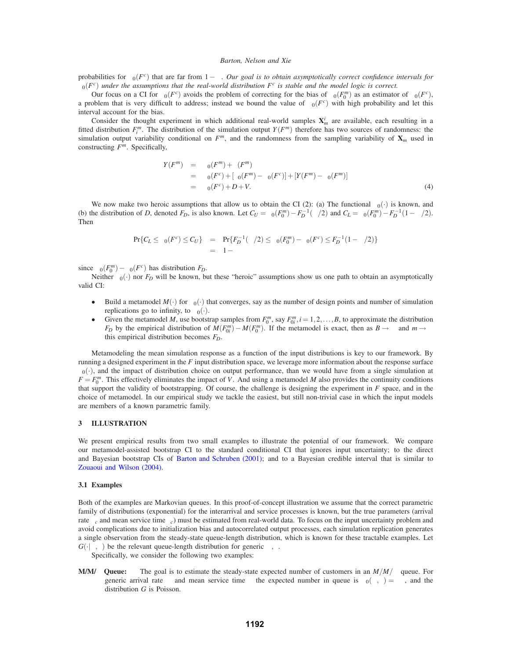probabilities for  $\beta_0(F^c)$  that are far from  $1-\alpha$ . Our goal is to obtain asymptotically correct confidence intervals for  $\beta_0(F^c)$  *under the assumptions that the real-world distribution*  $F^c$  *is stable and the model logic is correct.* 

Our focus on a CI for  $β_0(F^c)$  avoids the problem of correcting for the bias of  $β_0(F_0^m)$  as an estimator of  $β_0(F^c)$ , a problem that is very difficult to address; instead we bound the value of  $\beta_0(F^c)$  with high probability and let this interval account for the bias.

Consider the thought experiment in which additional real-world samples  $X^i_m$  are available, each resulting in a fitted distribution  $F_i^m$ . The distribution of the simulation output  $Y(F^m)$  therefore has two sources of randomness: the simulation output variability conditional on  $F^m$ , and the randomness from the sampling variability of  $X_m$  used in constructing *Fm*. Specifically,

$$
Y(F^{m}) = \beta_{0}(F^{m}) + \varepsilon(F^{m})
$$
  
=  $\beta_{0}(F^{c}) + [\beta_{0}(F^{m}) - \beta_{0}(F^{c})] + [Y(F^{m}) - \beta_{0}(F^{m})]$   
=  $\beta_{0}(F^{c}) + D + V.$  (4)

We now make two heroic assumptions that allow us to obtain the CI (2): (a) The functional  $\beta_0(\cdot)$  is known, and (b) the distribution of *D*, denoted  $F_D$ , is also known. Let  $C_U = \beta_0(F_0^m) - F_D^{-1}(\alpha/2)$  and  $C_L = \beta_0(F_0^m) - F_D^{-1}(1 - \alpha/2)$ . Then

$$
\Pr\{C_L \le \beta_0(F^c) \le C_U\} = \Pr\{F_D^{-1}(\alpha/2) \le \beta_0(F_0^m) - \beta_0(F^c) \le F_D^{-1}(1 - \alpha/2)\}
$$
  
= 1 - \alpha

since  $\beta_0(F_0^m) - \beta_0(F^c)$  has distribution  $F_D$ .

Neither  $\beta_0(\cdot)$  nor  $F_D$  will be known, but these "heroic" assumptions show us one path to obtain an asymptotically valid CI:

- Build a metamodel  $M(\cdot)$  for  $\beta_0(\cdot)$  that converges, say as the number of design points and number of simulation replications go to infinity, to  $\beta_0(\cdot)$ .
- Given the metamodel *M*, use bootstrap samples from  $F_0^m$ , say  $F_{0i}^m$ ,  $i = 1, 2, ..., B$ , to approximate the distribution *F<sub>D</sub>* by the empirical distribution of  $M(F_{0i}^m) - M(F_0^m)$ . If the metamodel is exact, then as  $B \to \infty$  and  $m \to \infty$ this empirical distribution becomes *FD*.

Metamodeling the mean simulation response as a function of the input distributions is key to our framework. By running a designed experiment in the *F* input distribution space, we leverage more information about the response surface  $\beta_0(\cdot)$ , and the impact of distribution choice on output performance, than we would have from a single simulation at  $F = F_0^m$ . This effectively eliminates the impact of *V*. And using a metamodel *M* also provides the continuity conditions that support the validity of bootstrapping. Of course, the challenge is designing the experiment in *F* space, and in the choice of metamodel. In our empirical study we tackle the easiest, but still non-trivial case in which the input models are members of a known parametric family.

### **3 ILLUSTRATION**

We present empirical results from two small examples to illustrate the potential of our framework. We compare our metamodel-assisted bootstrap CI to the standard conditional CI that ignores input uncertainty; to the direct and Bayesian bootstrap CIs of Barton and Schruben (2001); and to a Bayesian credible interval that is similar to Zouaoui and Wilson (2004).

### **3.1 Examples**

Both of the examples are Markovian queues. In this proof-of-concept illustration we assume that the correct parametric family of distributions (exponential) for the interarrival and service processes is known, but the true parameters (arrival rate  $\lambda_c$  and mean service time  $\tau_c$ ) must be estimated from real-world data. To focus on the input uncertainty problem and avoid complications due to initialization bias and autocorrelated output processes, each simulation replication generates a single observation from the steady-state queue-length distribution, which is known for these tractable examples. Let  $G(\cdot|\lambda,\tau)$  be the relevant queue-length distribution for generic  $\lambda,\tau$ .

- Specifically, we consider the following two examples:
- **M/M/**∞ **Queue:** The goal is to estimate the steady-state expected number of customers in an *M*/*M*/∞ queue. For generic arrival rate  $\lambda$  and mean service time  $\tau$  the expected number in queue is  $\beta_0(\lambda, \tau) = \lambda \tau$ , and the distribution *G* is Poisson.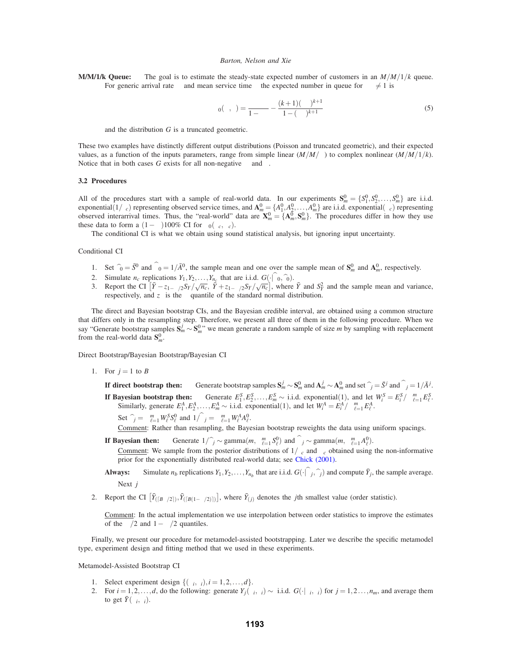**M/M/1/k Queue:** The goal is to estimate the steady-state expected number of customers in an *M*/*M*/1/*k* queue. For generic arrival rate  $\lambda$  and mean service time  $\tau$  the expected number in queue for  $\lambda \tau \neq 1$  is

$$
\beta_0(\lambda, \tau) = \frac{\lambda \tau}{1 - \lambda \tau} - \frac{(k+1)(\lambda \tau)^{k+1}}{1 - (\lambda \tau)^{k+1}} \tag{5}
$$

and the distribution *G* is a truncated geometric.

These two examples have distinctly different output distributions (Poisson and truncated geometric), and their expected values, as a function of the inputs parameters, range from simple linear  $(M/M/\sim)$  to complex nonlinear  $(M/M/1/k)$ . Notice that in both cases *G* exists for all non-negative  $\lambda$  and  $\tau$ .

### **3.2 Procedures**

All of the procedures start with a sample of real-world data. In our experiments  $\mathbf{S}_m^0 = \{S_1^0, S_2^0, \dots, S_m^0\}$  are i.i.d. exponential( $1/\tau_c$ ) representing observed service times, and  $\mathbf{A}_m^0 = \{A_1^0, A_2^0, \dots, A_m^0\}$  are i.i.d. exponential( $\lambda_c$ ) representing observed interarrival times. Thus, the "real-world" data are  $\mathbf{X}_m^0 = \{\mathbf{A}_m^$ these data to form a  $(1-\alpha)100\%$  CI for  $\beta_0(\lambda_c,\mu_c)$ .

The conditional CI is what we obtain using sound statistical analysis, but ignoring input uncertainty.

## Conditional CI

- 1. Set  $\hat{\tau}_0 = \bar{S}^0$  and  $\hat{\lambda}_0 = 1/\bar{A}^0$ , the sample mean and one over the sample mean of  $S_m^0$  and  $A_m^0$ , respectively.
- 
- 2. Simulate  $n_c$  replications  $Y_1, Y_2, ..., Y_{n_c}$  that are i.i.d.  $G(\cdot | \lambda_0, \hat{\tau}_0)$ .<br>3. Report the CI  $[\bar{Y} z_{1-\alpha/2}S_Y/\sqrt{n_c}, \bar{Y} + z_{1-\alpha/2}S_Y/\sqrt{n_c}]$ , where  $\bar{Y}$  and  $S_Y^2$  and the sample mean and variance, respectively, and  $z<sub>\gamma</sub>$  is the  $\gamma$  quantile of the standard normal distribution.

The direct and Bayesian bootstrap CIs, and the Bayesian credible interval, are obtained using a common structure that differs only in the resampling step. Therefore, we present all three of them in the following procedure. When we say "Generate bootstrap samples  $S_m^j \sim S_m^0$ " we mean generate a random sample of size *m* by sampling with replacement from the real-world data  $S_m^0$ .

Direct Bootstrap/Bayesian Bootstrap/Bayesian CI

1. For  $j = 1$  to *B* 

**If direct bootstrap then:** Generate bootstrap samples  $S_m^j \sim S_m^0$  and  $A_m^j \sim A_m^0$  and set  $\hat{\tau}_j = \bar{S}^j$  and  $\hat{\lambda}_j = 1/\bar{A}^j$ . **If Bayesian bootstrap then:** Generate  $E_1^S, E_2^S, \dots, E_m^S \sim$  i.i.d. exponential(1), and let  $W_i^S = E_i^S / \sum_{\ell=1}^m E_{\ell}^S$ .<br>Similarly, generate  $E_1^A, E_2^A, \dots, E_m^A \sim$  i.i.d. exponential(1), and let  $W_i^A = E_i^A / \sum_{\ell=1}^m$ 

Set  $\hat{\tau}_j = \sum_{\ell=1}^m W_\ell^S S_\ell^0$  and  $1/\hat{\lambda}_j = \sum_{\ell=1}^m W_\ell^A A_\ell^0$ .

Comment: Rather than resampling, the Bayesian bootstrap reweights the data using uniform spacings.

**If Bayesian then:**  $\widehat{\tau}_j \sim \text{gamma}(m, \sum_{\ell=1}^m S_\ell^0)$  and  $\widehat{\lambda}_j \sim \text{gamma}(m, \sum_{\ell=1}^m A_\ell^0)$ .

Comment: We sample from the posterior distributions of  $1/\tau_c$  and  $\lambda_c$  obtained using the non-informative prior for the exponentially distributed real-world data; see Chick (2001).

- **Always:** Simulate  $n_b$  replications  $Y_1, Y_2, \ldots, Y_{n_b}$  that are i.i.d.  $G(\cdot | \hat{\lambda}_j, \hat{\tau}_j)$  and compute  $\bar{Y}_j$ , the sample average. Next *j*
- 2. Report the CI  $\left[ \bar{Y}_{\left(\left\lceil B\alpha/2\right\rceil\right)}, \bar{Y}_{\left(\left\lceil B(1-\alpha/2)\right\rceil\right)} \right]$ , where  $\bar{Y}_{(j)}$  denotes the *j*th smallest value (order statistic).

Comment: In the actual implementation we use interpolation between order statistics to improve the estimates of the  $\alpha/2$  and  $1-\alpha/2$  quantiles.

Finally, we present our procedure for metamodel-assisted bootstrapping. Later we describe the specific metamodel type, experiment design and fitting method that we used in these experiments.

Metamodel-Assisted Bootstrap CI

- 1. Select experiment design  $\{(\lambda_i, \tau_i), i = 1, 2, ..., d\}.$
- 2. For  $i = 1, 2, ..., d$ , do the following: generate  $Y_j(\lambda_i, \tau_i) \sim$  i.i.d.  $G(\cdot | \lambda_i, \tau_i)$  for  $j = 1, 2, ..., n_m$ , and average them to get  $\bar{Y}(\lambda_i, \tau_i)$ .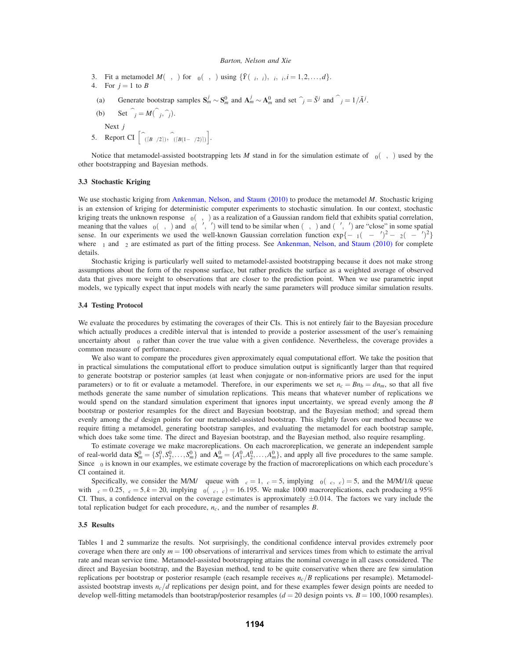- 3. Fit a metamodel  $M(\lambda, \tau)$  for  $\beta_0(\lambda, \tau)$  using  $\{\bar{Y}(\lambda_i, \tau_i), \lambda_i, \tau_i, i = 1, 2, \ldots, d\}$ .
- 4. For  $j = 1$  to *B*
- (a) Generate bootstrap samples  $S_m^j \sim S_m^0$  and  $A_m^j \sim A_m^0$  and set  $\hat{\tau}_j = \bar{S}^j$  and  $\hat{\lambda}_j = 1/\bar{A}^j$ .
- (b) Set  $\beta_j = M(\lambda_j, \hat{\tau}_j)$ .

Next *j*

5. Report CI  $\left[\widehat{\beta}_{\left(\left[B\alpha/2\right]\right)}, \widehat{\beta}_{\left(\left[B(1-\alpha/2)\right]\right)}\right]$ .

Notice that metamodel-assisted bootstrapping lets *M* stand in for the simulation estimate of  $\beta_0(\lambda, \tau)$  used by the other bootstrapping and Bayesian methods.

# **3.3 Stochastic Kriging**

We use stochastic kriging from Ankenman, Nelson, and Staum (2010) to produce the metamodel *M*. Stochastic kriging is an extension of kriging for deterministic computer experiments to stochastic simulation. In our context, stochastic kriging treats the unknown response  $\beta_0(\lambda, \tau)$  as a realization of a Gaussian random field that exhibits spatial correlation, meaning that the values  $\beta_0(\lambda, \tau)$  and  $\beta_0(\lambda', \tau')$  will tend to be similar when  $(\lambda, \tau)$  and  $(\lambda', \tau')$  are "close" in some spatial sense. In our experiments we used the well-known Gaussian correlation function  $\exp{\{-\theta_1(\lambda - \lambda')^2 - \theta_2(\tau - \tau')^2\}}$ where  $\theta_1$  and  $\theta_2$  are estimated as part of the fitting process. See Ankenman, Nelson, and Staum (2010) for complete details.

Stochastic kriging is particularly well suited to metamodel-assisted bootstrapping because it does not make strong assumptions about the form of the response surface, but rather predicts the surface as a weighted average of observed data that gives more weight to observations that are closer to the prediction point. When we use parametric input models, we typically expect that input models with nearly the same parameters will produce similar simulation results.

## **3.4 Testing Protocol**

We evaluate the procedures by estimating the coverages of their CIs. This is not entirely fair to the Bayesian procedure which actually produces a credible interval that is intended to provide a posterior assessment of the user's remaining uncertainty about  $\beta_0$  rather than cover the true value with a given confidence. Nevertheless, the coverage provides a common measure of performance.

We also want to compare the procedures given approximately equal computational effort. We take the position that in practical simulations the computational effort to produce simulation output is significantly larger than that required to generate bootstrap or posterior samples (at least when conjugate or non-informative priors are used for the input parameters) or to fit or evaluate a metamodel. Therefore, in our experiments we set  $n_c = Bn_b = dn_m$ , so that all five methods generate the same number of simulation replications. This means that whatever number of replications we would spend on the standard simulation experiment that ignores input uncertainty, we spread evenly among the *B* bootstrap or posterior resamples for the direct and Bayesian bootstrap, and the Bayesian method; and spread them evenly among the *d* design points for our metamodel-assisted bootstrap. This slightly favors our method because we require fitting a metamodel, generating bootstrap samples, and evaluating the metamodel for each bootstrap sample, which does take some time. The direct and Bayesian bootstrap, and the Bayesian method, also require resampling.

To estimate coverage we make macroreplications. On each macroreplication, we generate an independent sample of real-world data  $\mathbf{S}_m^0 = \{S_1^0, S_2^0, \dots, S_m^0\}$  and  $\mathbf{A}_m^0 = \{A_1^0, A_2^0, \dots, A_m^0\}$ , and apply all five procedures to the same sample. Since  $\beta_0$  is known in our examples, we estimate coverage by the fraction of macroreplications on which each procedure's CI contained it.

Specifically, we consider the M/M/ $\infty$  queue with  $\lambda_c = 1, \tau_c = 5$ , implying  $\beta_0(\lambda_c, \tau_c) = 5$ , and the M/M/1/*k* queue with  $\lambda_c = 0.25$ ,  $\tau_c = 5$ ,  $k = 20$ , implying  $\beta_0(\lambda_c, \tau_c) = 16.195$ . We make 1000 macroreplications, each producing a 95% CI. Thus, a confidence interval on the coverage estimates is approximately  $\pm 0.014$ . The factors we vary include the total replication budget for each procedure, *nc*, and the number of resamples *B*.

### **3.5 Results**

Tables 1 and 2 summarize the results. Not surprisingly, the conditional confidence interval provides extremely poor coverage when there are only  $m = 100$  observations of interarrival and services times from which to estimate the arrival rate and mean service time. Metamodel-assisted bootstrapping attains the nominal coverage in all cases considered. The direct and Bayesian bootstrap, and the Bayesian method, tend to be quite conservative when there are few simulation replications per bootstrap or posterior resample (each resample receives  $n_c/B$  replications per resample). Metamodelassisted bootstrap invests  $n_c/d$  replications per design point, and for these examples fewer design points are needed to develop well-fitting metamodels than bootstrap/posterior resamples ( $d = 20$  design points vs.  $B = 100,1000$  resamples).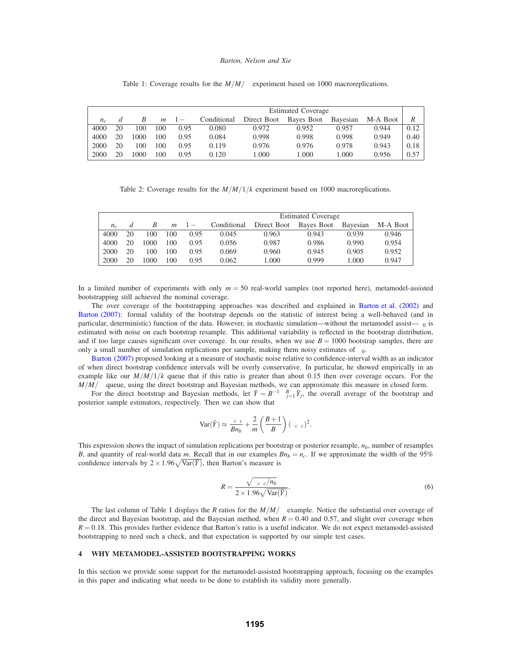Table 1: Coverage results for the  $M/M/\infty$  experiment based on 1000 macroreplications.

|             |    |      |     |            | <b>Estimated Coverage</b> |             |            |          |          |      |  |
|-------------|----|------|-----|------------|---------------------------|-------------|------------|----------|----------|------|--|
| $n_{\rm c}$ |    |      | m   | $1-\alpha$ | Conditional               | Direct Boot | Bayes Boot | Bayesian | M-A Boot | R    |  |
| 4000        | 20 | 100  | 100 | 0.95       | 0.080                     | 0.972       | 0.952      | 0.957    | 0.944    | 0.12 |  |
| 4000        | 20 | 1000 | 100 | 0.95       | 0.084                     | 0.998       | 0.998      | 0.998    | 0.949    | 0.40 |  |
| 2000        | 20 | 100  | 100 | 0.95       | 0.119                     | 0.976       | 0.976      | 0.978    | 0.943    | 0.18 |  |
| 2000        | 20 | 000  | 100 | 0.95       | 0.120                     | 1.000       | .000       | 1.000    | 0.956    | 0.57 |  |

Table 2: Coverage results for the *M*/*M*/1/*k* experiment based on 1000 macroreplications.

|         |    |      |     |            | <b>Estimated Coverage</b> |             |            |          |          |  |
|---------|----|------|-----|------------|---------------------------|-------------|------------|----------|----------|--|
| $n_{c}$ |    | В    | m   | $1-\alpha$ | Conditional               | Direct Boot | Bayes Boot | Bavesian | M-A Boot |  |
| 4000    | 20 | 100  | 100 | 0.95       | 0.045                     | 0.963       | 0.943      | 0.939    | 0.946    |  |
| 4000    | 20 | 1000 | 100 | 0.95       | 0.056                     | 0.987       | 0.986      | 0.990    | 0.954    |  |
| 2000    | 20 | 100  | 100 | 0.95       | 0.069                     | 0.960       | 0.945      | 0.905    | 0.952    |  |
| 2000    | 20 | 1000 | 100 | 0.95       | 0.062                     | 1.000       | 0.999      | 1.000    | 0.947    |  |

In a limited number of experiments with only *m* = 50 real-world samples (not reported here), metamodel-assisted bootstrapping still achieved the nominal coverage.

The over coverage of the bootstrapping approaches was described and explained in Barton et al. (2002) and Barton (2007): formal validity of the bootstrap depends on the statistic of interest being a well-behaved (and in particular, deterministic) function of the data. However, in stochastic simulation—without the metamodel assist— $\beta_0$  is estimated with noise on each bootstrap resample. This additional variability is reflected in the bootstrap distribution, and if too large causes significant over coverage. In our results, when we use  $B = 1000$  bootstrap samples, there are only a small number of simulation replications per sample, making them noisy estimates of  $\beta_0$ .

Barton (2007) proposed looking at a measure of stochastic noise relative to confidence-interval width as an indicator of when direct bootstrap confidence intervals will be overly conservative. In particular, he showed empirically in an example like our  $M/M/1/k$  queue that if this ratio is greater than about 0.15 then over coverage occurs. For the *M*/*M*/∞ queue, using the direct bootstrap and Bayesian methods, we can approximate this measure in closed form.

For the direct bootstrap and Bayesian methods, let  $\bar{Y} = B^{-1} \sum_{j=1}^{B} \bar{Y}_j$ , the overall average of the bootstrap and posterior sample estimators, respectively. Then we can show that

$$
\text{Var}(\bar{Y}) \approx \frac{\lambda_c \tau_c}{B n_b} + \frac{2}{m} \left( \frac{B+1}{B} \right) (\lambda_c \tau_c)^2.
$$

This expression shows the impact of simulation replications per bootstrap or posterior resample, *nb*, number of resamples *B*, and quantity of real-world data *m*. Recall that in our examples  $Bn_b = n_c$ . If we approximate the width of the 95% confidence intervals by  $2 \times 1.96\sqrt{\text{Var}(\bar{Y})}$ , then Barton's measure is

$$
R = \frac{\sqrt{\lambda_c \tau_c / n_b}}{2 \times 1.96 \sqrt{\text{Var}(\bar{Y})}}.
$$
\n(6)

The last column of Table 1 displays the *R* ratios for the  $M/M/\infty$  example. Notice the substantial over coverage of the direct and Bayesian bootstrap, and the Bayesian method, when  $R = 0.40$  and 0.57, and slight over coverage when  $R = 0.18$ . This provides further evidence that Barton's ratio is a useful indicator. We do not expect metamodel-assisted bootstrapping to need such a check, and that expectation is supported by our simple test cases.

# **4 WHY METAMODEL-ASSISTED BOOTSTRAPPING WORKS**

In this section we provide some support for the metamodel-assisted bootstrapping approach, focusing on the examples in this paper and indicating what needs to be done to establish its validity more generally.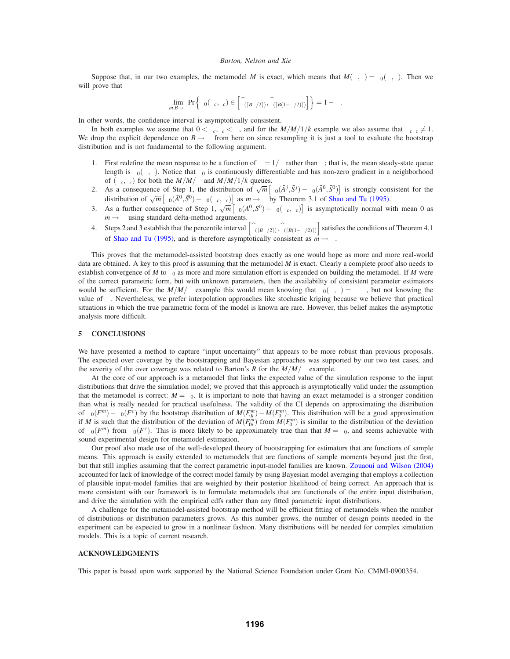Suppose that, in our two examples, the metamodel *M* is exact, which means that  $M(\lambda, \tau) = \beta_0(\lambda, \tau)$ . Then we will prove that

$$
\lim_{m,B\to\infty}\Pr\Big\{\beta_0(\lambda_c,\tau_c)\in\Big[\widehat{\beta}_{(\lceil B\alpha/2\rceil)},\widehat{\beta}_{(\lceil B(1-\alpha/2)\rceil)}\Big]\Big\}=1-\alpha.
$$

In other words, the confidence interval is asymptotically consistent.

In both examples we assume that  $0 < \lambda_c$ ,  $\tau_c < \infty$ , and for the  $M/M/1/k$  example we also assume that  $\lambda_c \tau_c \neq 1$ . We drop the explicit dependence on  $B \rightarrow \infty$  from here on since resampling it is just a tool to evaluate the bootstrap distribution and is not fundamental to the following argument.

- 1. First redefine the mean response to be a function of  $\eta = 1/\lambda$  rather than  $\lambda$ ; that is, the mean steady-state queue length is  $\beta_0(\eta, \tau)$ . Notice that  $\beta_0$  is continuously differentiable and has non-zero gradient in a neighborhood of  $(\eta_c, \tau_c)$  for both the  $M/M/\sim$  and  $M/M/1/k$  queues.
- 2. As a consequence of Step 1, the distribution of  $\sqrt{m} \left[ \beta_0(\bar{A}^j, \bar{S}^j) \beta_0(\bar{A}^0, \bar{S}^0) \right]$  is strongly consistent for the distribution of  $\sqrt{m} \left[ \beta_0(\bar{A}^0, \bar{S}^0) - \beta_0(\eta_c, \tau_c) \right]$  as  $m \to \infty$  by Theorem 3.1 of Shao and Tu (1995).
- 3. As a further consequence of Step 1,  $\sqrt{m}$   $\left[\beta_0(\bar{A}^0, \bar{S}^0) \beta_0(\eta_c, \tau_c)\right]$  is asymptotically normal with mean 0 as  $m \rightarrow \infty$  using standard delta-method arguments.
- 4. Steps 2 and 3 establish that the percentile interval  $\left[\hat{\beta}_{\left(\frac{B\alpha}{2}\right)}, \hat{\beta}_{\left(\frac{B(1-\alpha/2)}{2}\right)}\right]$  satisfies the conditions of Theorem 4.1 of Shao and Tu (1995), and is therefore asymptotically consistent as  $m \rightarrow \infty$ .

This proves that the metamodel-assisted bootstrap does exactly as one would hope as more and more real-world data are obtained. A key to this proof is assuming that the metamodel *M* is exact. Clearly a complete proof also needs to establish convergence of *M* to  $\beta_0$  as more and more simulation effort is expended on building the metamodel. If *M* were of the correct parametric form, but with unknown parameters, then the availability of consistent parameter estimators would be sufficient. For the  $M/M/\infty$  example this would mean knowing that  $\beta_0(\lambda, \tau) = \beta \lambda \tau$ , but not knowing the value of β. Nevertheless, we prefer interpolation approaches like stochastic kriging because we believe that practical situations in which the true parametric form of the model is known are rare. However, this belief makes the asymptotic analysis more difficult.

# **5 CONCLUSIONS**

We have presented a method to capture "input uncertainty" that appears to be more robust than previous proposals. The expected over coverage by the bootstrapping and Bayesian approaches was supported by our two test cases, and the severity of the over coverage was related to Barton's *R* for the  $M/M/\infty$  example.

At the core of our approach is a metamodel that links the expected value of the simulation response to the input distributions that drive the simulation model; we proved that this approach is asymptotically valid under the assumption that the metamodel is correct:  $M = \beta_0$ . It is important to note that having an exact metamodel is a stronger condition than what is really needed for practical usefulness. The validity of the CI depends on approximating the distribution of  $\beta_0(F^m) - \beta_0(F^c)$  by the bootstrap distribution of  $M(F_{0i}^m) - M(F_0^m)$ . This distribution will be a good approximation if *M* is such that the distribution of the deviation of  $M(F_0^m)$  from  $M(F_0^m)$  is similar to the distribution of the deviation of  $\beta_0(F^m)$  from  $\beta_0(F^c)$ . This is more likely to be approximately true than that  $M = \beta_0$ , and seems achievable with sound experimental design for metamodel estimation.

Our proof also made use of the well-developed theory of bootstrapping for estimators that are functions of sample means. This approach is easily extended to metamodels that are functions of sample moments beyond just the first, but that still implies assuming that the correct parametric input-model families are known. Zouaoui and Wilson (2004) accounted for lack of knowledge of the correct model family by using Bayesian model averaging that employs a collection of plausible input-model families that are weighted by their posterior likelihood of being correct. An approach that is more consistent with our framework is to formulate metamodels that are functionals of the entire input distribution, and drive the simulation with the empirical cdfs rather than any fitted parametric input distributions.

A challenge for the metamodel-assisted bootstrap method will be efficient fitting of metamodels when the number of distributions or distribution parameters grows. As this number grows, the number of design points needed in the experiment can be expected to grow in a nonlinear fashion. Many distributions will be needed for complex simulation models. This is a topic of current research.

## **ACKNOWLEDGMENTS**

This paper is based upon work supported by the National Science Foundation under Grant No. CMMI-0900354.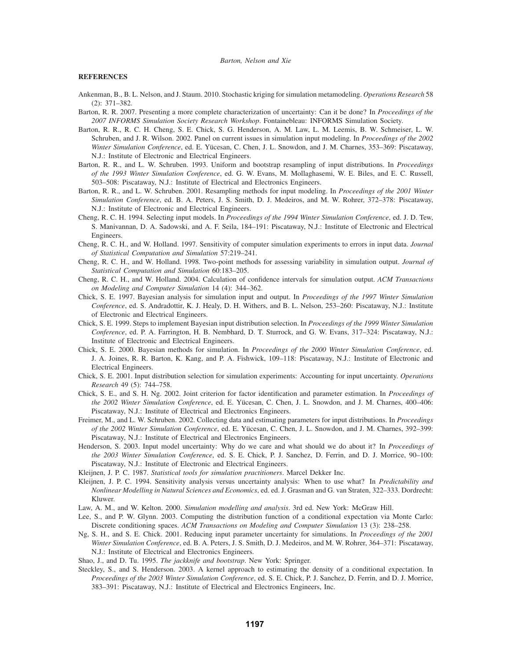## **REFERENCES**

- Ankenman, B., B. L. Nelson, and J. Staum. 2010. Stochastic kriging for simulation metamodeling. *Operations Research* 58 (2): 371–382.
- Barton, R. R. 2007. Presenting a more complete characterization of uncertainty: Can it be done? In *Proceedings of the 2007 INFORMS Simulation Society Research Workshop*. Fontainebleau: INFORMS Simulation Society.
- Barton, R. R., R. C. H. Cheng, S. E. Chick, S. G. Henderson, A. M. Law, L. M. Leemis, B. W. Schmeiser, L. W. Schruben, and J. R. Wilson. 2002. Panel on current issues in simulation input modeling. In *Proceedings of the 2002 Winter Simulation Conference*, ed. E. Yücesan, C. Chen, J. L. Snowdon, and J. M. Charnes, 353–369: Piscataway, N.J.: Institute of Electronic and Electrical Engineers.
- Barton, R. R., and L. W. Schruben. 1993. Uniform and bootstrap resampling of input distributions. In *Proceedings of the 1993 Winter Simulation Conference*, ed. G. W. Evans, M. Mollaghasemi, W. E. Biles, and E. C. Russell, 503–508: Piscataway, N.J.: Institute of Electrical and Electronics Engineers.
- Barton, R. R., and L. W. Schruben. 2001. Resampling methods for input modeling. In *Proceedings of the 2001 Winter Simulation Conference*, ed. B. A. Peters, J. S. Smith, D. J. Medeiros, and M. W. Rohrer, 372–378: Piscataway, N.J.: Institute of Electronic and Electrical Engineers.
- Cheng, R. C. H. 1994. Selecting input models. In *Proceedings of the 1994 Winter Simulation Conference*, ed. J. D. Tew, S. Manivannan, D. A. Sadowski, and A. F. Seila, 184–191: Piscataway, N.J.: Institute of Electronic and Electrical Engineers.
- Cheng, R. C. H., and W. Holland. 1997. Sensitivity of computer simulation experiments to errors in input data. *Journal of Statistical Computation and Simulation* 57:219–241.
- Cheng, R. C. H., and W. Holland. 1998. Two-point methods for assessing variability in simulation output. *Journal of Statistical Computation and Simulation* 60:183–205.
- Cheng, R. C. H., and W. Holland. 2004. Calculation of confidence intervals for simulation output. *ACM Transactions on Modeling and Computer Simulation* 14 (4): 344–362.
- Chick, S. E. 1997. Bayesian analysis for simulation input and output. In *Proceedings of the 1997 Winter Simulation Conference*, ed. S. Andradottir, K. J. Healy, D. H. Withers, and B. L. Nelson, 253–260: Piscataway, N.J.: Institute of Electronic and Electrical Engineers.
- Chick, S. E. 1999. Steps to implement Bayesian input distribution selection. In *Proceedings of the 1999 Winter Simulation Conference*, ed. P. A. Farrington, H. B. Nembhard, D. T. Sturrock, and G. W. Evans, 317–324: Piscataway, N.J.: Institute of Electronic and Electrical Engineers.
- Chick, S. E. 2000. Bayesian methods for simulation. In *Proceedings of the 2000 Winter Simulation Conference*, ed. J. A. Joines, R. R. Barton, K. Kang, and P. A. Fishwick, 109–118: Piscataway, N.J.: Institute of Electronic and Electrical Engineers.
- Chick, S. E. 2001. Input distribution selection for simulation experiments: Accounting for input uncertainty. *Operations Research* 49 (5): 744–758.
- Chick, S. E., and S. H. Ng. 2002. Joint criterion for factor identification and parameter estimation. In *Proceedings of the 2002 Winter Simulation Conference*, ed. E. Yücesan, C. Chen, J. L. Snowdon, and J. M. Charnes, 400–406: Piscataway, N.J.: Institute of Electrical and Electronics Engineers.
- Freimer, M., and L. W. Schruben. 2002. Collecting data and estimating parameters for input distributions. In *Proceedings of the 2002 Winter Simulation Conference*, ed. E. Yücesan, C. Chen, J. L. Snowdon, and J. M. Charnes, 392–399: Piscataway, N.J.: Institute of Electrical and Electronics Engineers.
- Henderson, S. 2003. Input model uncertainty: Why do we care and what should we do about it? In *Proceedings of the 2003 Winter Simulation Conference*, ed. S. E. Chick, P. J. Sanchez, D. Ferrin, and D. J. Morrice, 90–100: Piscataway, N.J.: Institute of Electronic and Electrical Engineers.
- Kleijnen, J. P. C. 1987. *Statistical tools for simulation practitioners*. Marcel Dekker Inc.
- Kleijnen, J. P. C. 1994. Sensitivity analysis versus uncertainty analysis: When to use what? In *Predictability and Nonlinear Modelling in Natural Sciences and Economics*, ed. ed. J. Grasman and G. van Straten, 322–333. Dordrecht: Kluwer.
- Law, A. M., and W. Kelton. 2000. *Simulation modelling and analysis*. 3rd ed. New York: McGraw Hill.
- Lee, S., and P. W. Glynn. 2003. Computing the distribution function of a conditional expectation via Monte Carlo: Discrete conditioning spaces. *ACM Transactions on Modeling and Computer Simulation* 13 (3): 238–258.
- Ng, S. H., and S. E. Chick. 2001. Reducing input parameter uncertainty for simulations. In *Proceedings of the 2001 Winter Simulation Conference*, ed. B. A. Peters, J. S. Smith, D. J. Medeiros, and M. W. Rohrer, 364–371: Piscataway, N.J.: Institute of Electrical and Electronics Engineers.
- Shao, J., and D. Tu. 1995. *The jackknife and bootstrap*. New York: Springer.
- Steckley, S., and S. Henderson. 2003. A kernel approach to estimating the density of a conditional expectation. In *Proceedings of the 2003 Winter Simulation Conference*, ed. S. E. Chick, P. J. Sanchez, D. Ferrin, and D. J. Morrice, 383–391: Piscataway, N.J.: Institute of Electrical and Electronics Engineers, Inc.